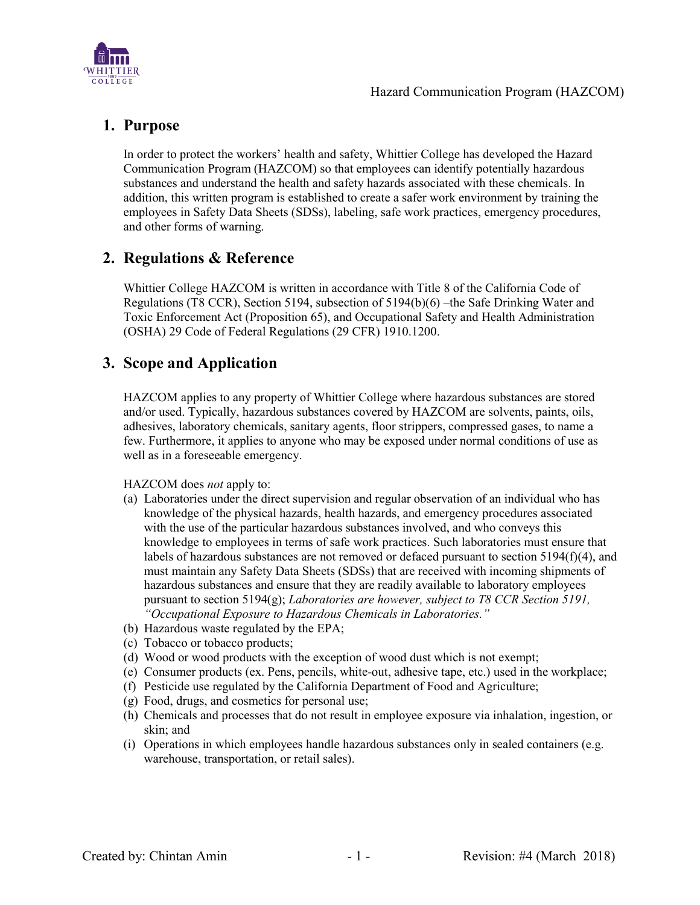

## **1. Purpose**

In order to protect the workers' health and safety, Whittier College has developed the Hazard Communication Program (HAZCOM) so that employees can identify potentially hazardous substances and understand the health and safety hazards associated with these chemicals. In addition, this written program is established to create a safer work environment by training the employees in Safety Data Sheets (SDSs), labeling, safe work practices, emergency procedures, and other forms of warning.

## **2. Regulations & Reference**

Whittier College HAZCOM is written in accordance with Title 8 of the California Code of Regulations (T8 CCR), Section 5194, subsection of 5194(b)(6) –the Safe Drinking Water and Toxic Enforcement Act (Proposition 65), and Occupational Safety and Health Administration (OSHA) 29 Code of Federal Regulations (29 CFR) 1910.1200.

## **3. Scope and Application**

HAZCOM applies to any property of Whittier College where hazardous substances are stored and/or used. Typically, hazardous substances covered by HAZCOM are solvents, paints, oils, adhesives, laboratory chemicals, sanitary agents, floor strippers, compressed gases, to name a few. Furthermore, it applies to anyone who may be exposed under normal conditions of use as well as in a foreseeable emergency.

#### HAZCOM does *not* apply to:

- (a) Laboratories under the direct supervision and regular observation of an individual who has knowledge of the physical hazards, health hazards, and emergency procedures associated with the use of the particular hazardous substances involved, and who conveys this knowledge to employees in terms of safe work practices. Such laboratories must ensure that labels of hazardous substances are not removed or defaced pursuant to section 5194(f)(4), and must maintain any Safety Data Sheets (SDSs) that are received with incoming shipments of hazardous substances and ensure that they are readily available to laboratory employees pursuant to section 5194(g); *Laboratories are however, subject to T8 CCR Section 5191, "Occupational Exposure to Hazardous Chemicals in Laboratories."*
- (b) Hazardous waste regulated by the EPA;
- (c) Tobacco or tobacco products;
- (d) Wood or wood products with the exception of wood dust which is not exempt;
- (e) Consumer products (ex. Pens, pencils, white-out, adhesive tape, etc.) used in the workplace;
- (f) Pesticide use regulated by the California Department of Food and Agriculture;
- (g) Food, drugs, and cosmetics for personal use;
- (h) Chemicals and processes that do not result in employee exposure via inhalation, ingestion, or skin; and
- (i) Operations in which employees handle hazardous substances only in sealed containers (e.g. warehouse, transportation, or retail sales).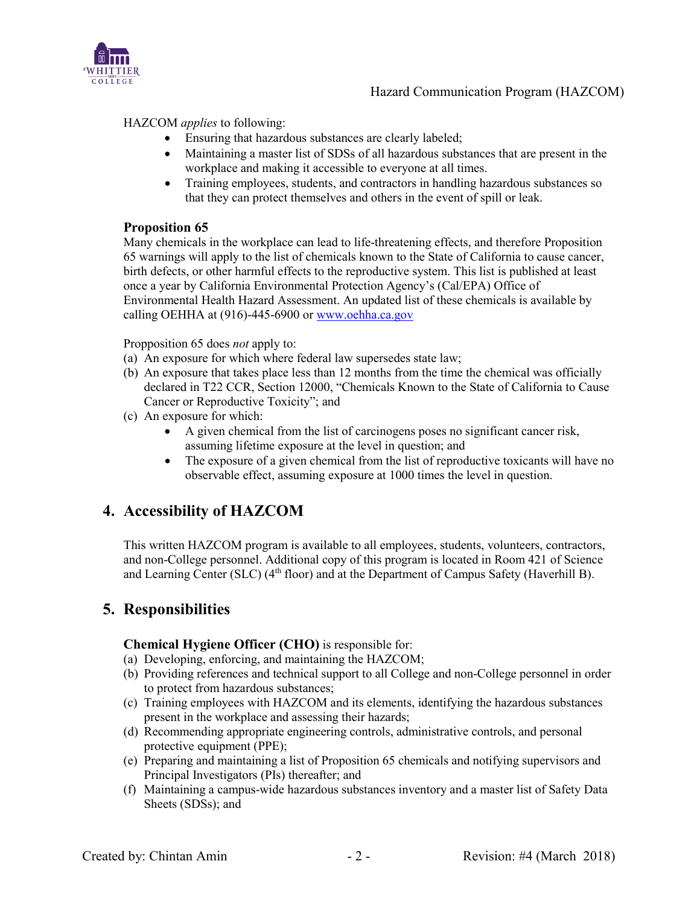

HAZCOM *applies* to following:

- Ensuring that hazardous substances are clearly labeled;
- Maintaining a master list of SDSs of all hazardous substances that are present in the workplace and making it accessible to everyone at all times.
- Training employees, students, and contractors in handling hazardous substances so that they can protect themselves and others in the event of spill or leak.

#### **Proposition 65**

Many chemicals in the workplace can lead to life-threatening effects, and therefore Proposition 65 warnings will apply to the list of chemicals known to the State of California to cause cancer, birth defects, or other harmful effects to the reproductive system. This list is published at least once a year by California Environmental Protection Agency's (Cal/EPA) Office of Environmental Health Hazard Assessment. An updated list of these chemicals is available by calling OEHHA at (916)-445-6900 or [www.oehha.ca.gov](http://www.oehha.ca.gov/)

Propposition 65 does *not* apply to:

- (a) An exposure for which where federal law supersedes state law;
- (b) An exposure that takes place less than 12 months from the time the chemical was officially declared in T22 CCR, Section 12000, "Chemicals Known to the State of California to Cause Cancer or Reproductive Toxicity"; and
- (c) An exposure for which:
	- A given chemical from the list of carcinogens poses no significant cancer risk, assuming lifetime exposure at the level in question; and
	- The exposure of a given chemical from the list of reproductive toxicants will have no observable effect, assuming exposure at 1000 times the level in question.

## **4. Accessibility of HAZCOM**

This written HAZCOM program is available to all employees, students, volunteers, contractors, and non-College personnel. Additional copy of this program is located in Room 421 of Science and Learning Center (SLC) (4<sup>th</sup> floor) and at the Department of Campus Safety (Haverhill B).

## **5. Responsibilities**

#### **Chemical Hygiene Officer (CHO)** is responsible for:

- (a) Developing, enforcing, and maintaining the HAZCOM;
- (b) Providing references and technical support to all College and non-College personnel in order to protect from hazardous substances;
- (c) Training employees with HAZCOM and its elements, identifying the hazardous substances present in the workplace and assessing their hazards;
- (d) Recommending appropriate engineering controls, administrative controls, and personal protective equipment (PPE);
- (e) Preparing and maintaining a list of Proposition 65 chemicals and notifying supervisors and Principal Investigators (PIs) thereafter; and
- (f) Maintaining a campus-wide hazardous substances inventory and a master list of Safety Data Sheets (SDSs); and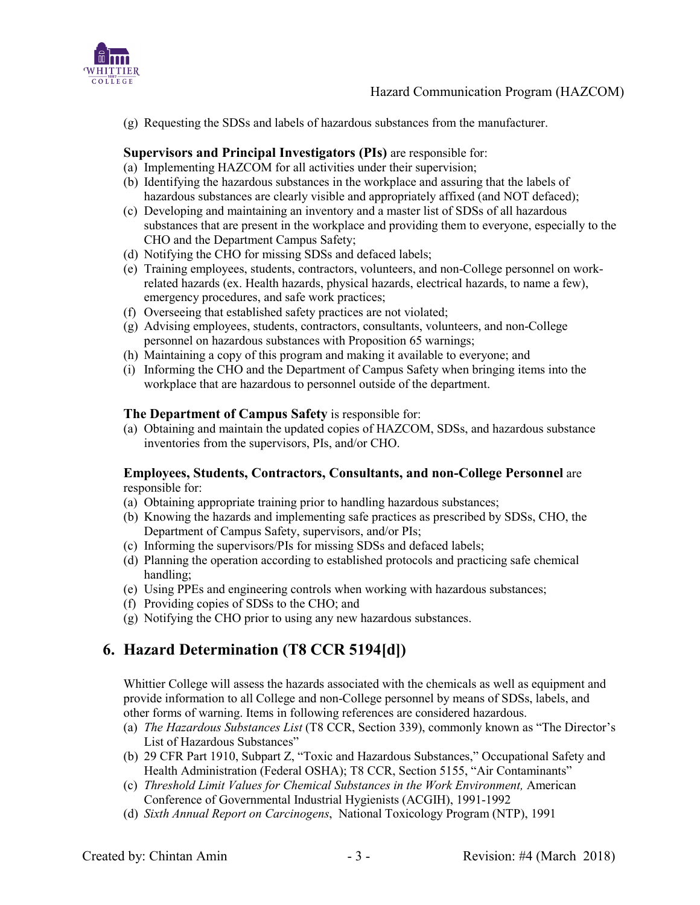

(g) Requesting the SDSs and labels of hazardous substances from the manufacturer.

#### **Supervisors and Principal Investigators (PIs)** are responsible for:

- (a) Implementing HAZCOM for all activities under their supervision;
- (b) Identifying the hazardous substances in the workplace and assuring that the labels of hazardous substances are clearly visible and appropriately affixed (and NOT defaced);
- (c) Developing and maintaining an inventory and a master list of SDSs of all hazardous substances that are present in the workplace and providing them to everyone, especially to the CHO and the Department Campus Safety;
- (d) Notifying the CHO for missing SDSs and defaced labels;
- (e) Training employees, students, contractors, volunteers, and non-College personnel on workrelated hazards (ex. Health hazards, physical hazards, electrical hazards, to name a few), emergency procedures, and safe work practices;
- (f) Overseeing that established safety practices are not violated;
- (g) Advising employees, students, contractors, consultants, volunteers, and non-College personnel on hazardous substances with Proposition 65 warnings;
- (h) Maintaining a copy of this program and making it available to everyone; and
- (i) Informing the CHO and the Department of Campus Safety when bringing items into the workplace that are hazardous to personnel outside of the department.

#### **The Department of Campus Safety** is responsible for:

(a) Obtaining and maintain the updated copies of HAZCOM, SDSs, and hazardous substance inventories from the supervisors, PIs, and/or CHO.

#### **Employees, Students, Contractors, Consultants, and non-College Personnel** are responsible for:

- (a) Obtaining appropriate training prior to handling hazardous substances;
- (b) Knowing the hazards and implementing safe practices as prescribed by SDSs, CHO, the Department of Campus Safety, supervisors, and/or PIs;
- (c) Informing the supervisors/PIs for missing SDSs and defaced labels;
- (d) Planning the operation according to established protocols and practicing safe chemical handling;
- (e) Using PPEs and engineering controls when working with hazardous substances;
- (f) Providing copies of SDSs to the CHO; and
- (g) Notifying the CHO prior to using any new hazardous substances.

# **6. Hazard Determination (T8 CCR 5194[d])**

Whittier College will assess the hazards associated with the chemicals as well as equipment and provide information to all College and non-College personnel by means of SDSs, labels, and other forms of warning. Items in following references are considered hazardous.

- (a) *The Hazardous Substances List* (T8 CCR, Section 339), commonly known as "The Director's List of Hazardous Substances"
- (b) 29 CFR Part 1910, Subpart Z, "Toxic and Hazardous Substances," Occupational Safety and Health Administration (Federal OSHA); T8 CCR, Section 5155, "Air Contaminants"
- (c) *Threshold Limit Values for Chemical Substances in the Work Environment,* American Conference of Governmental Industrial Hygienists (ACGIH), 1991-1992
- (d) *Sixth Annual Report on Carcinogens*, National Toxicology Program (NTP), 1991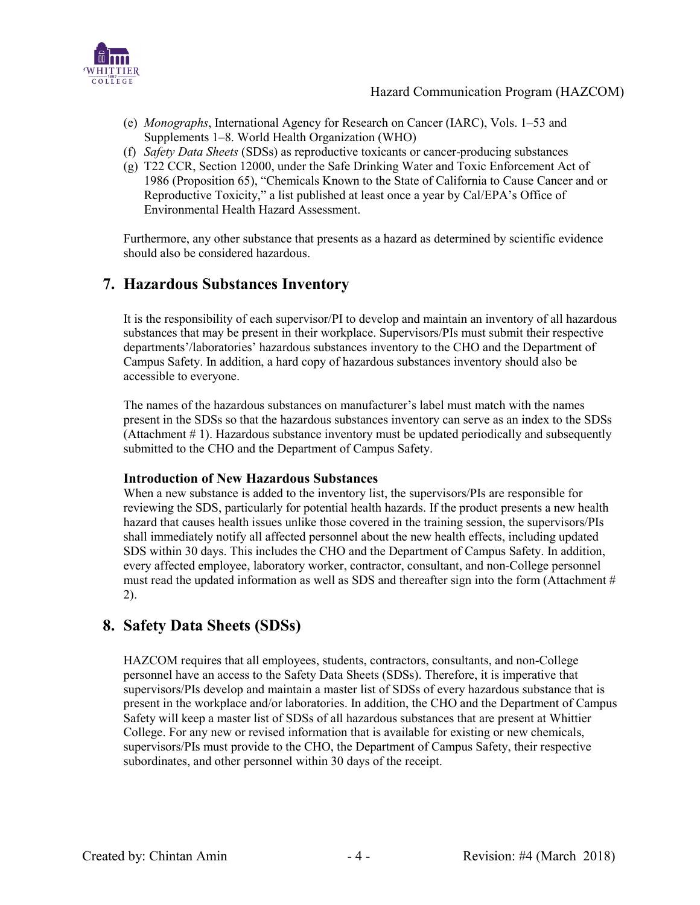

- (e) *Monographs*, International Agency for Research on Cancer (IARC), Vols. 1–53 and Supplements 1–8. World Health Organization (WHO)
- (f) *Safety Data Sheets* (SDSs) as reproductive toxicants or cancer-producing substances
- (g) T22 CCR, Section 12000, under the Safe Drinking Water and Toxic Enforcement Act of 1986 (Proposition 65), "Chemicals Known to the State of California to Cause Cancer and or Reproductive Toxicity," a list published at least once a year by Cal/EPA's Office of Environmental Health Hazard Assessment.

Furthermore, any other substance that presents as a hazard as determined by scientific evidence should also be considered hazardous.

# **7. Hazardous Substances Inventory**

It is the responsibility of each supervisor/PI to develop and maintain an inventory of all hazardous substances that may be present in their workplace. Supervisors/PIs must submit their respective departments'/laboratories' hazardous substances inventory to the CHO and the Department of Campus Safety. In addition, a hard copy of hazardous substances inventory should also be accessible to everyone.

The names of the hazardous substances on manufacturer's label must match with the names present in the SDSs so that the hazardous substances inventory can serve as an index to the SDSs (Attachment  $# 1$ ). Hazardous substance inventory must be updated periodically and subsequently submitted to the CHO and the Department of Campus Safety.

#### **Introduction of New Hazardous Substances**

When a new substance is added to the inventory list, the supervisors/PIs are responsible for reviewing the SDS, particularly for potential health hazards. If the product presents a new health hazard that causes health issues unlike those covered in the training session, the supervisors/PIs shall immediately notify all affected personnel about the new health effects, including updated SDS within 30 days. This includes the CHO and the Department of Campus Safety. In addition, every affected employee, laboratory worker, contractor, consultant, and non-College personnel must read the updated information as well as SDS and thereafter sign into the form (Attachment # 2).

## **8. Safety Data Sheets (SDSs)**

HAZCOM requires that all employees, students, contractors, consultants, and non-College personnel have an access to the Safety Data Sheets (SDSs). Therefore, it is imperative that supervisors/PIs develop and maintain a master list of SDSs of every hazardous substance that is present in the workplace and/or laboratories. In addition, the CHO and the Department of Campus Safety will keep a master list of SDSs of all hazardous substances that are present at Whittier College. For any new or revised information that is available for existing or new chemicals, supervisors/PIs must provide to the CHO, the Department of Campus Safety, their respective subordinates, and other personnel within 30 days of the receipt.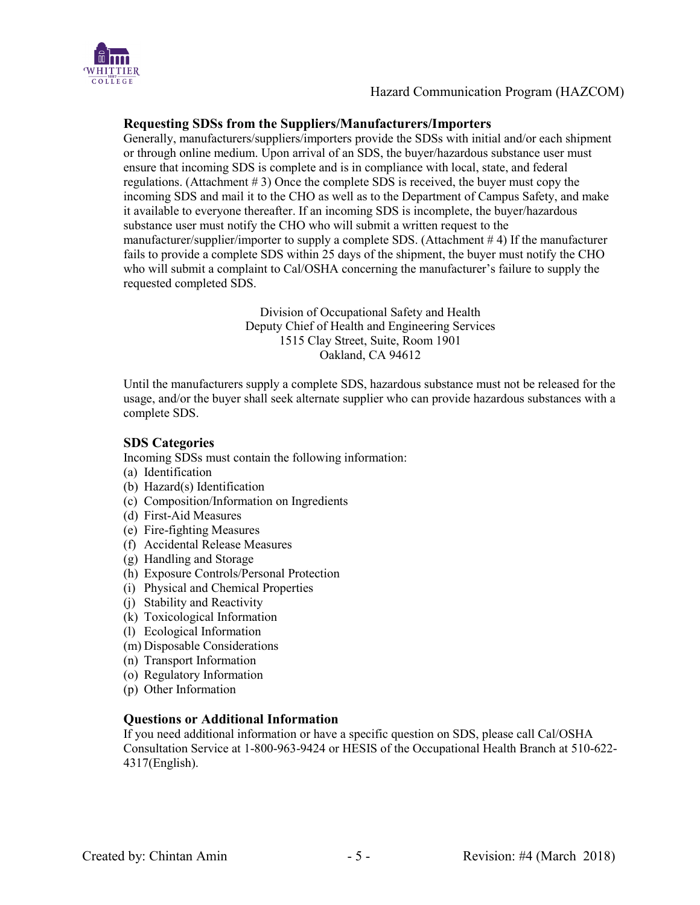

#### **Requesting SDSs from the Suppliers/Manufacturers/Importers**

Generally, manufacturers/suppliers/importers provide the SDSs with initial and/or each shipment or through online medium. Upon arrival of an SDS, the buyer/hazardous substance user must ensure that incoming SDS is complete and is in compliance with local, state, and federal regulations. (Attachment # 3) Once the complete SDS is received, the buyer must copy the incoming SDS and mail it to the CHO as well as to the Department of Campus Safety, and make it available to everyone thereafter. If an incoming SDS is incomplete, the buyer/hazardous substance user must notify the CHO who will submit a written request to the manufacturer/supplier/importer to supply a complete SDS. (Attachment # 4) If the manufacturer fails to provide a complete SDS within 25 days of the shipment, the buyer must notify the CHO who will submit a complaint to Cal/OSHA concerning the manufacturer's failure to supply the requested completed SDS.

> Division of Occupational Safety and Health Deputy Chief of Health and Engineering Services 1515 Clay Street, Suite, Room 1901 Oakland, CA 94612

Until the manufacturers supply a complete SDS, hazardous substance must not be released for the usage, and/or the buyer shall seek alternate supplier who can provide hazardous substances with a complete SDS.

#### **SDS Categories**

Incoming SDSs must contain the following information:

- (a) Identification
- (b) Hazard(s) Identification
- (c) Composition/Information on Ingredients
- (d) First-Aid Measures
- (e) Fire-fighting Measures
- (f) Accidental Release Measures
- (g) Handling and Storage
- (h) Exposure Controls/Personal Protection
- (i) Physical and Chemical Properties
- (j) Stability and Reactivity
- (k) Toxicological Information
- (l) Ecological Information
- (m) Disposable Considerations
- (n) Transport Information
- (o) Regulatory Information
- (p) Other Information

#### **Questions or Additional Information**

If you need additional information or have a specific question on SDS, please call Cal/OSHA Consultation Service at 1-800-963-9424 or HESIS of the Occupational Health Branch at 510-622- 4317(English).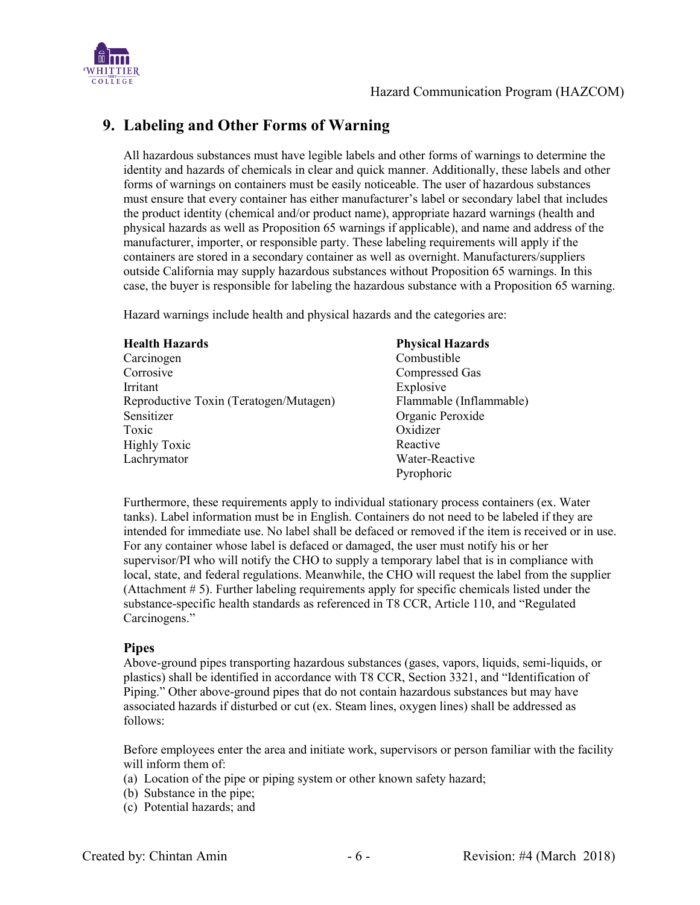

# **9. Labeling and Other Forms of Warning**

All hazardous substances must have legible labels and other forms of warnings to determine the identity and hazards of chemicals in clear and quick manner. Additionally, these labels and other forms of warnings on containers must be easily noticeable. The user of hazardous substances must ensure that every container has either manufacturer's label or secondary label that includes the product identity (chemical and/or product name), appropriate hazard warnings (health and physical hazards as well as Proposition 65 warnings if applicable), and name and address of the manufacturer, importer, or responsible party. These labeling requirements will apply if the containers are stored in a secondary container as well as overnight. Manufacturers/suppliers outside California may supply hazardous substances without Proposition 65 warnings. In this case, the buyer is responsible for labeling the hazardous substance with a Proposition 65 warning.

Hazard warnings include health and physical hazards and the categories are:

| <b>Health Hazards</b>                  | <b>Physical Hazards</b> |
|----------------------------------------|-------------------------|
| Carcinogen                             | Combustible             |
| Corrosive                              | <b>Compressed Gas</b>   |
| <b>Irritant</b>                        | Explosive               |
| Reproductive Toxin (Teratogen/Mutagen) | Flammable (Inflammable) |
| Sensitizer                             | Organic Peroxide        |
| Toxic                                  | Oxidizer                |
| <b>Highly Toxic</b>                    | Reactive                |
| Lachrymator                            | Water-Reactive          |
|                                        | Pyrophoric              |

Furthermore, these requirements apply to individual stationary process containers (ex. Water tanks). Label information must be in English. Containers do not need to be labeled if they are intended for immediate use. No label shall be defaced or removed if the item is received or in use. For any container whose label is defaced or damaged, the user must notify his or her supervisor/PI who will notify the CHO to supply a temporary label that is in compliance with local, state, and federal regulations. Meanwhile, the CHO will request the label from the supplier (Attachment # 5). Further labeling requirements apply for specific chemicals listed under the substance-specific health standards as referenced in T8 CCR, Article 110, and "Regulated Carcinogens."

#### **Pipes**

Above-ground pipes transporting hazardous substances (gases, vapors, liquids, semi-liquids, or plastics) shall be identified in accordance with T8 CCR, Section 3321, and "Identification of Piping." Other above-ground pipes that do not contain hazardous substances but may have associated hazards if disturbed or cut (ex. Steam lines, oxygen lines) shall be addressed as follows:

Before employees enter the area and initiate work, supervisors or person familiar with the facility will inform them of:

- (a) Location of the pipe or piping system or other known safety hazard;
- (b) Substance in the pipe;
- (c) Potential hazards; and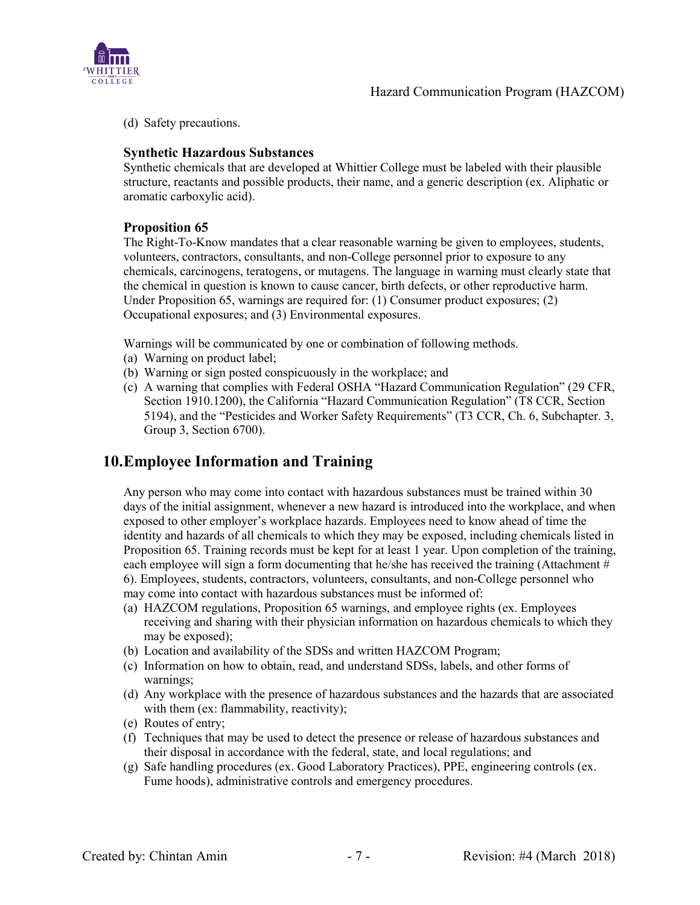

(d) Safety precautions.

#### **Synthetic Hazardous Substances**

Synthetic chemicals that are developed at Whittier College must be labeled with their plausible structure, reactants and possible products, their name, and a generic description (ex. Aliphatic or aromatic carboxylic acid).

#### **Proposition 65**

The Right-To-Know mandates that a clear reasonable warning be given to employees, students, volunteers, contractors, consultants, and non-College personnel prior to exposure to any chemicals, carcinogens, teratogens, or mutagens. The language in warning must clearly state that the chemical in question is known to cause cancer, birth defects, or other reproductive harm. Under Proposition 65, warnings are required for: (1) Consumer product exposures; (2) Occupational exposures; and (3) Environmental exposures.

Warnings will be communicated by one or combination of following methods.

- (a) Warning on product label;
- (b) Warning or sign posted conspicuously in the workplace; and
- (c) A warning that complies with Federal OSHA "Hazard Communication Regulation" (29 CFR, Section 1910.1200), the California "Hazard Communication Regulation" (T8 CCR, Section 5194), and the "Pesticides and Worker Safety Requirements" (T3 CCR, Ch. 6, Subchapter. 3, Group 3, Section 6700).

### **10.Employee Information and Training**

Any person who may come into contact with hazardous substances must be trained within 30 days of the initial assignment, whenever a new hazard is introduced into the workplace, and when exposed to other employer's workplace hazards. Employees need to know ahead of time the identity and hazards of all chemicals to which they may be exposed, including chemicals listed in Proposition 65. Training records must be kept for at least 1 year. Upon completion of the training, each employee will sign a form documenting that he/she has received the training (Attachment # 6). Employees, students, contractors, volunteers, consultants, and non-College personnel who may come into contact with hazardous substances must be informed of:

- (a) HAZCOM regulations, Proposition 65 warnings, and employee rights (ex. Employees receiving and sharing with their physician information on hazardous chemicals to which they may be exposed);
- (b) Location and availability of the SDSs and written HAZCOM Program;
- (c) Information on how to obtain, read, and understand SDSs, labels, and other forms of warnings;
- (d) Any workplace with the presence of hazardous substances and the hazards that are associated with them (ex: flammability, reactivity);
- (e) Routes of entry;
- (f) Techniques that may be used to detect the presence or release of hazardous substances and their disposal in accordance with the federal, state, and local regulations; and
- (g) Safe handling procedures (ex. Good Laboratory Practices), PPE, engineering controls (ex. Fume hoods), administrative controls and emergency procedures.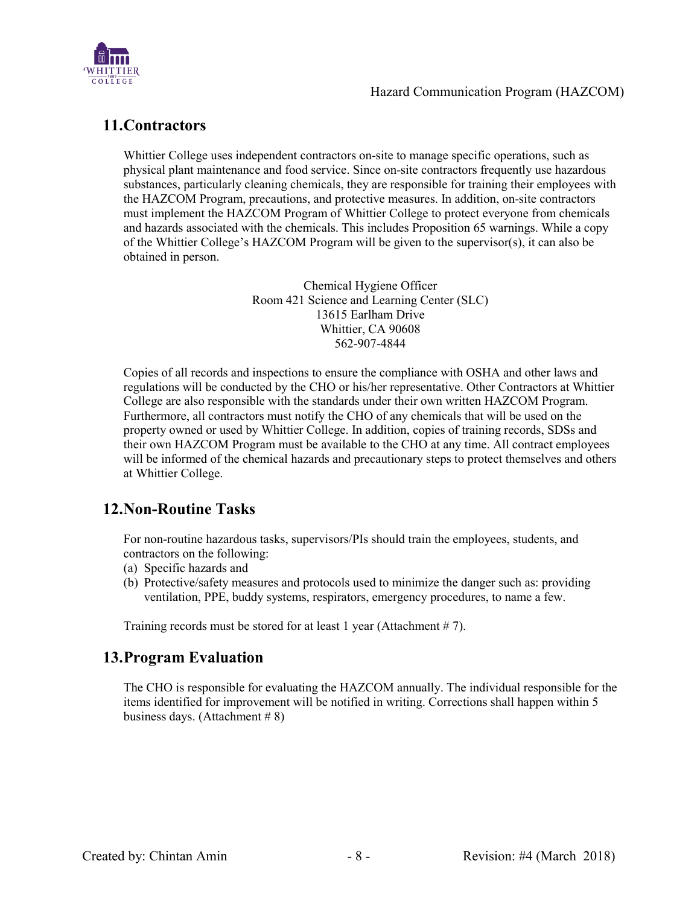

# **11.Contractors**

Whittier College uses independent contractors on-site to manage specific operations, such as physical plant maintenance and food service. Since on-site contractors frequently use hazardous substances, particularly cleaning chemicals, they are responsible for training their employees with the HAZCOM Program, precautions, and protective measures. In addition, on-site contractors must implement the HAZCOM Program of Whittier College to protect everyone from chemicals and hazards associated with the chemicals. This includes Proposition 65 warnings. While a copy of the Whittier College's HAZCOM Program will be given to the supervisor(s), it can also be obtained in person.

> Chemical Hygiene Officer Room 421 Science and Learning Center (SLC) 13615 Earlham Drive Whittier, CA 90608 562-907-4844

Copies of all records and inspections to ensure the compliance with OSHA and other laws and regulations will be conducted by the CHO or his/her representative. Other Contractors at Whittier College are also responsible with the standards under their own written HAZCOM Program. Furthermore, all contractors must notify the CHO of any chemicals that will be used on the property owned or used by Whittier College. In addition, copies of training records, SDSs and their own HAZCOM Program must be available to the CHO at any time. All contract employees will be informed of the chemical hazards and precautionary steps to protect themselves and others at Whittier College.

# **12.Non-Routine Tasks**

For non-routine hazardous tasks, supervisors/PIs should train the employees, students, and contractors on the following:

- (a) Specific hazards and
- (b) Protective/safety measures and protocols used to minimize the danger such as: providing ventilation, PPE, buddy systems, respirators, emergency procedures, to name a few.

Training records must be stored for at least 1 year (Attachment # 7).

### **13.Program Evaluation**

The CHO is responsible for evaluating the HAZCOM annually. The individual responsible for the items identified for improvement will be notified in writing. Corrections shall happen within 5 business days. (Attachment  $# 8$ )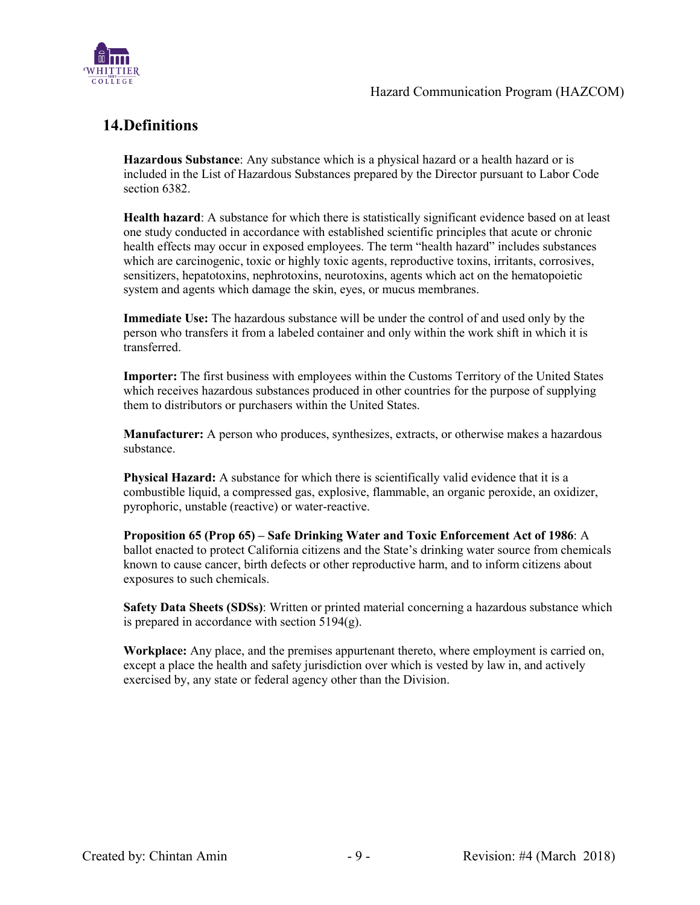

# **14.Definitions**

**Hazardous Substance**: Any substance which is a physical hazard or a health hazard or is included in the List of Hazardous Substances prepared by the Director pursuant to Labor Code section 6382.

**Health hazard**: A substance for which there is statistically significant evidence based on at least one study conducted in accordance with established scientific principles that acute or chronic health effects may occur in exposed employees. The term "health hazard" includes substances which are carcinogenic, toxic or highly toxic agents, reproductive toxins, irritants, corrosives, sensitizers, hepatotoxins, nephrotoxins, neurotoxins, agents which act on the hematopoietic system and agents which damage the skin, eyes, or mucus membranes.

**Immediate Use:** The hazardous substance will be under the control of and used only by the person who transfers it from a labeled container and only within the work shift in which it is transferred.

**Importer:** The first business with employees within the Customs Territory of the United States which receives hazardous substances produced in other countries for the purpose of supplying them to distributors or purchasers within the United States.

**Manufacturer:** A person who produces, synthesizes, extracts, or otherwise makes a hazardous substance.

**Physical Hazard:** A substance for which there is scientifically valid evidence that it is a combustible liquid, a compressed gas, explosive, flammable, an organic peroxide, an oxidizer, pyrophoric, unstable (reactive) or water-reactive.

**Proposition 65 (Prop 65) – Safe Drinking Water and Toxic Enforcement Act of 1986**: A ballot enacted to protect California citizens and the State's drinking water source from chemicals known to cause cancer, birth defects or other reproductive harm, and to inform citizens about exposures to such chemicals.

**Safety Data Sheets (SDSs)**: Written or printed material concerning a hazardous substance which is prepared in accordance with section 5194(g).

**Workplace:** Any place, and the premises appurtenant thereto, where employment is carried on, except a place the health and safety jurisdiction over which is vested by law in, and actively exercised by, any state or federal agency other than the Division.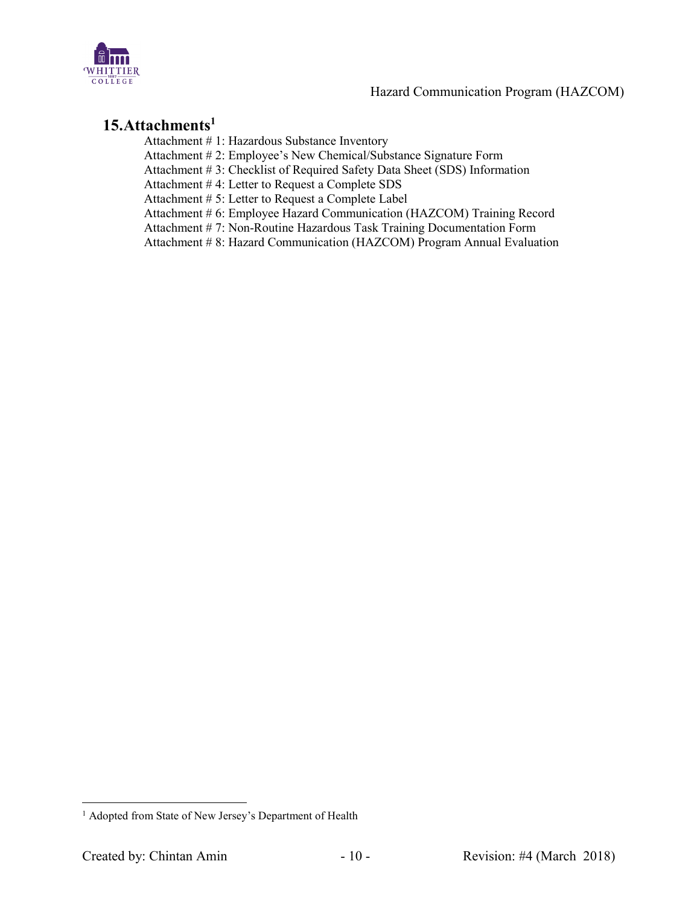

# **15.Attachments1**

Attachment # 1: Hazardous Substance Inventory

Attachment # 2: Employee's New Chemical/Substance Signature Form

Attachment # 3: Checklist of Required Safety Data Sheet (SDS) Information

Attachment # 4: Letter to Request a Complete SDS

Attachment # 5: Letter to Request a Complete Label

Attachment # 6: Employee Hazard Communication (HAZCOM) Training Record

Attachment # 7: Non-Routine Hazardous Task Training Documentation Form

Attachment # 8: Hazard Communication (HAZCOM) Program Annual Evaluation

<sup>&</sup>lt;sup>1</sup> Adopted from State of New Jersey's Department of Health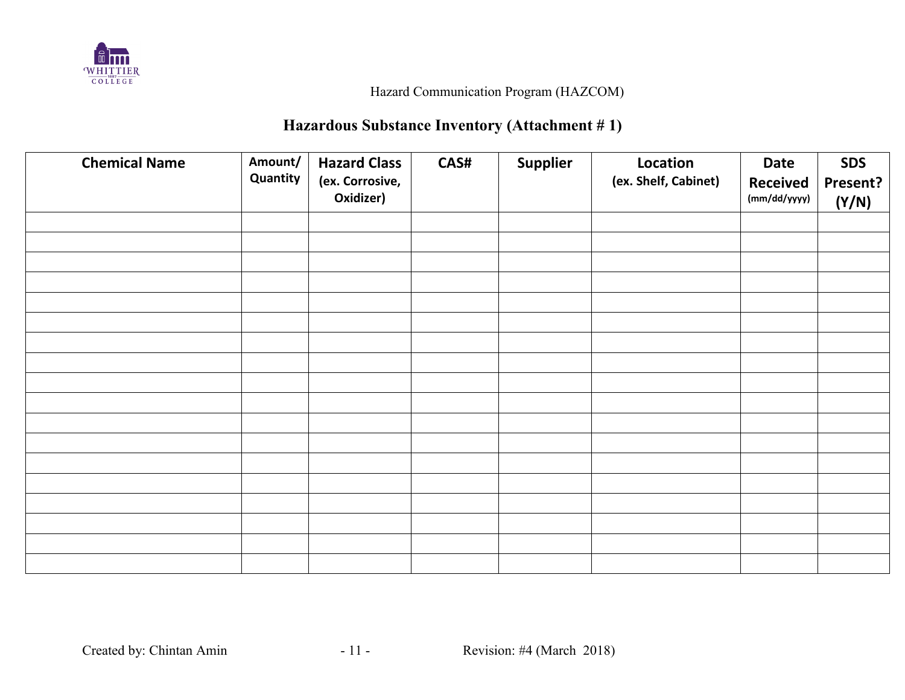

# **Hazardous Substance Inventory (Attachment # 1)**

| <b>Chemical Name</b> | Amount/<br>Quantity | <b>Hazard Class</b><br>(ex. Corrosive,<br>Oxidizer) | CAS# | Supplier | Location<br>(ex. Shelf, Cabinet) | Date<br><b>Received</b><br>(mm/dd/yyyy) | <b>SDS</b><br>Present?<br>(Y/N) |
|----------------------|---------------------|-----------------------------------------------------|------|----------|----------------------------------|-----------------------------------------|---------------------------------|
|                      |                     |                                                     |      |          |                                  |                                         |                                 |
|                      |                     |                                                     |      |          |                                  |                                         |                                 |
|                      |                     |                                                     |      |          |                                  |                                         |                                 |
|                      |                     |                                                     |      |          |                                  |                                         |                                 |
|                      |                     |                                                     |      |          |                                  |                                         |                                 |
|                      |                     |                                                     |      |          |                                  |                                         |                                 |
|                      |                     |                                                     |      |          |                                  |                                         |                                 |
|                      |                     |                                                     |      |          |                                  |                                         |                                 |
|                      |                     |                                                     |      |          |                                  |                                         |                                 |
|                      |                     |                                                     |      |          |                                  |                                         |                                 |
|                      |                     |                                                     |      |          |                                  |                                         |                                 |
|                      |                     |                                                     |      |          |                                  |                                         |                                 |
|                      |                     |                                                     |      |          |                                  |                                         |                                 |
|                      |                     |                                                     |      |          |                                  |                                         |                                 |
|                      |                     |                                                     |      |          |                                  |                                         |                                 |
|                      |                     |                                                     |      |          |                                  |                                         |                                 |
|                      |                     |                                                     |      |          |                                  |                                         |                                 |
|                      |                     |                                                     |      |          |                                  |                                         |                                 |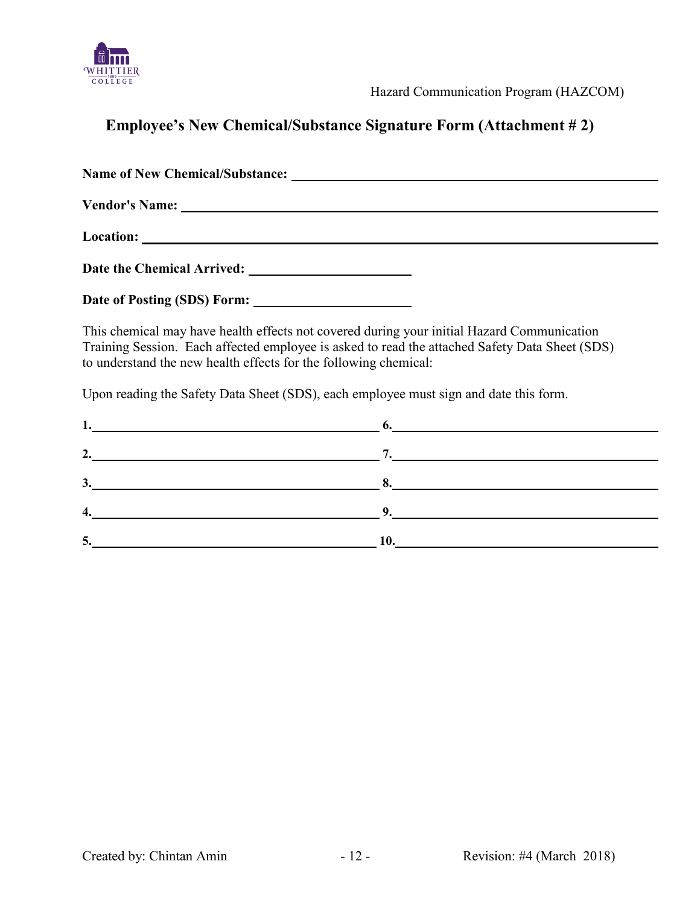

# **Employee's New Chemical/Substance Signature Form (Attachment # 2)**

**Name of New Chemical/Substance: Vendor's Name:**  Location: <u>**Location:**</u> Date the Chemical Arrived: **\_\_\_\_\_\_\_\_\_\_\_\_\_\_\_\_\_\_\_\_\_\_\_ Date of Posting (SDS) Form:** 

This chemical may have health effects not covered during your initial Hazard Communication Training Session. Each affected employee is asked to read the attached Safety Data Sheet (SDS) to understand the new health effects for the following chemical:

Upon reading the Safety Data Sheet (SDS), each employee must sign and date this form.

| $2.$ $7.$                    |  |
|------------------------------|--|
| $\mathbf{3.}$ $\blacksquare$ |  |
| $\frac{4}{2}$                |  |
| 5.                           |  |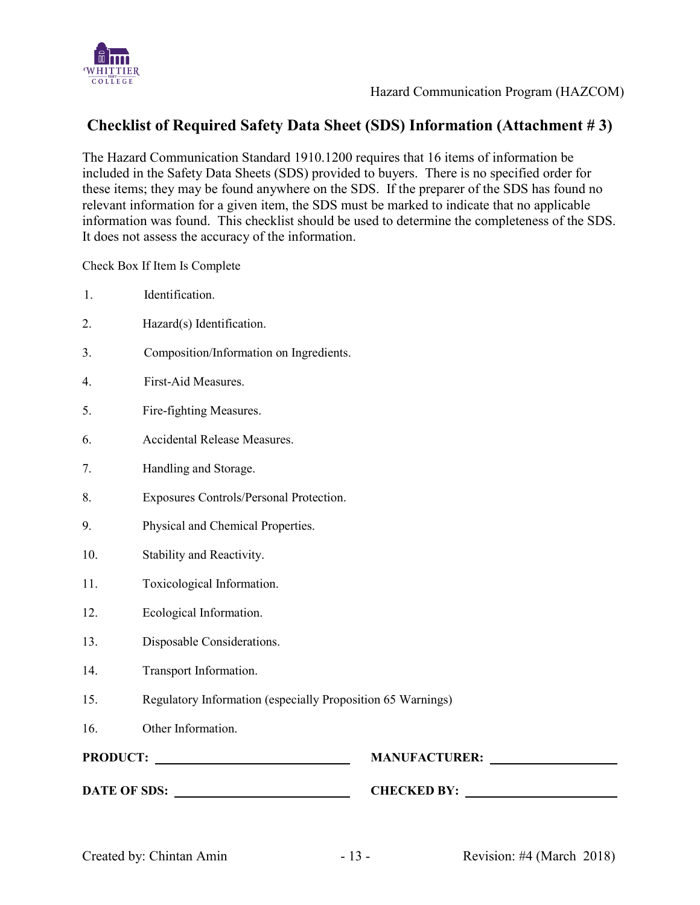

# **Checklist of Required Safety Data Sheet (SDS) Information (Attachment # 3)**

The Hazard Communication Standard 1910.1200 requires that 16 items of information be included in the Safety Data Sheets (SDS) provided to buyers. There is no specified order for these items; they may be found anywhere on the SDS. If the preparer of the SDS has found no relevant information for a given item, the SDS must be marked to indicate that no applicable information was found. This checklist should be used to determine the completeness of the SDS. It does not assess the accuracy of the information.

Check Box If Item Is Complete

- 1. Identification.
- 2. Hazard(s) Identification.
- 3. Composition/Information on Ingredients.
- 4. First-Aid Measures.
- 5. Fire-fighting Measures.
- 6. Accidental Release Measures.
- 7. Handling and Storage.
- 8. Exposures Controls/Personal Protection.
- 9. Physical and Chemical Properties.
- 10. Stability and Reactivity.
- 11. Toxicological Information.
- 12. Ecological Information.
- 13. Disposable Considerations.
- 14. Transport Information.
- 15. Regulatory Information (especially Proposition 65 Warnings)
- 16. Other Information.
- 

**PRODUCT: MANUFACTURER:** 

**DATE OF SDS: CHECKED BY:**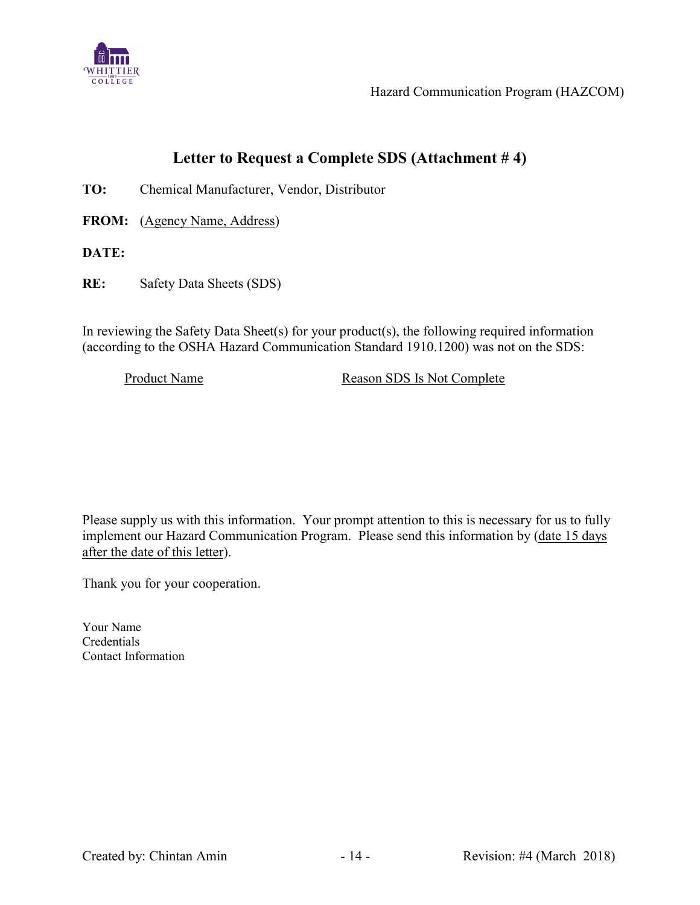

# **Letter to Request a Complete SDS (Attachment # 4)**

**TO:** Chemical Manufacturer, Vendor, Distributor

**FROM:** (Agency Name, Address)

**DATE:**

**RE:** Safety Data Sheets (SDS)

In reviewing the Safety Data Sheet(s) for your product(s), the following required information (according to the OSHA Hazard Communication Standard 1910.1200) was not on the SDS:

Product Name Reason SDS Is Not Complete

Please supply us with this information. Your prompt attention to this is necessary for us to fully implement our Hazard Communication Program. Please send this information by (date 15 days after the date of this letter).

Thank you for your cooperation.

Your Name Credentials Contact Information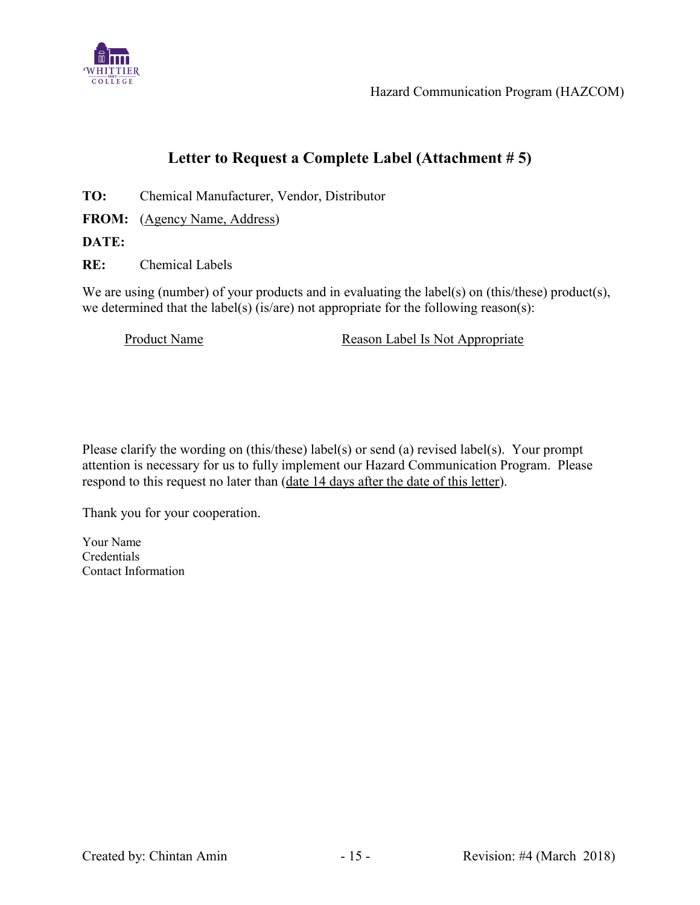

# **Letter to Request a Complete Label (Attachment # 5)**

**TO:** Chemical Manufacturer, Vendor, Distributor

FROM: (Agency Name, Address)

**DATE:**

**RE:** Chemical Labels

We are using (number) of your products and in evaluating the label(s) on (this/these) product(s), we determined that the label(s) (is/are) not appropriate for the following reason(s):

Product Name Reason Label Is Not Appropriate

Please clarify the wording on (this/these) label(s) or send (a) revised label(s). Your prompt attention is necessary for us to fully implement our Hazard Communication Program. Please respond to this request no later than (date 14 days after the date of this letter).

Thank you for your cooperation.

Your Name Credentials Contact Information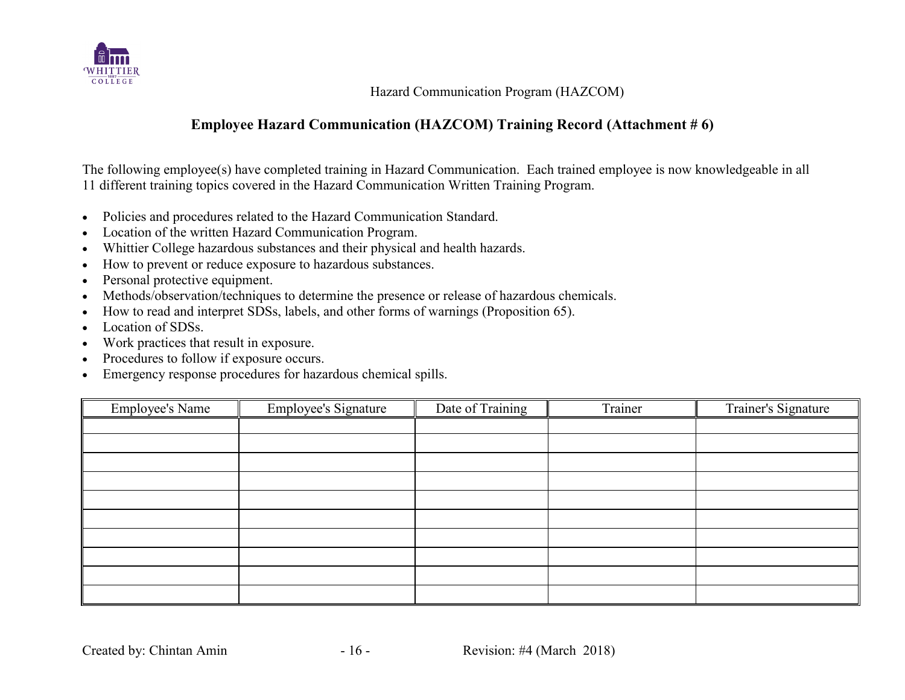

### **Employee Hazard Communication (HAZCOM) Training Record (Attachment # 6)**

The following employee(s) have completed training in Hazard Communication. Each trained employee is now knowledgeable in all 11 different training topics covered in the Hazard Communication Written Training Program.

- Policies and procedures related to the Hazard Communication Standard.
- Location of the written Hazard Communication Program.
- Whittier College hazardous substances and their physical and health hazards.
- How to prevent or reduce exposure to hazardous substances.
- Personal protective equipment.
- Methods/observation/techniques to determine the presence or release of hazardous chemicals.
- How to read and interpret SDSs, labels, and other forms of warnings (Proposition 65).
- Location of SDSs.
- Work practices that result in exposure.
- Procedures to follow if exposure occurs.
- Emergency response procedures for hazardous chemical spills.

| <b>Employee's Name</b> | Employee's Signature | Date of Training | Trainer | Trainer's Signature |
|------------------------|----------------------|------------------|---------|---------------------|
|                        |                      |                  |         |                     |
|                        |                      |                  |         |                     |
|                        |                      |                  |         |                     |
|                        |                      |                  |         |                     |
|                        |                      |                  |         |                     |
|                        |                      |                  |         |                     |
|                        |                      |                  |         |                     |
|                        |                      |                  |         |                     |
|                        |                      |                  |         |                     |
|                        |                      |                  |         |                     |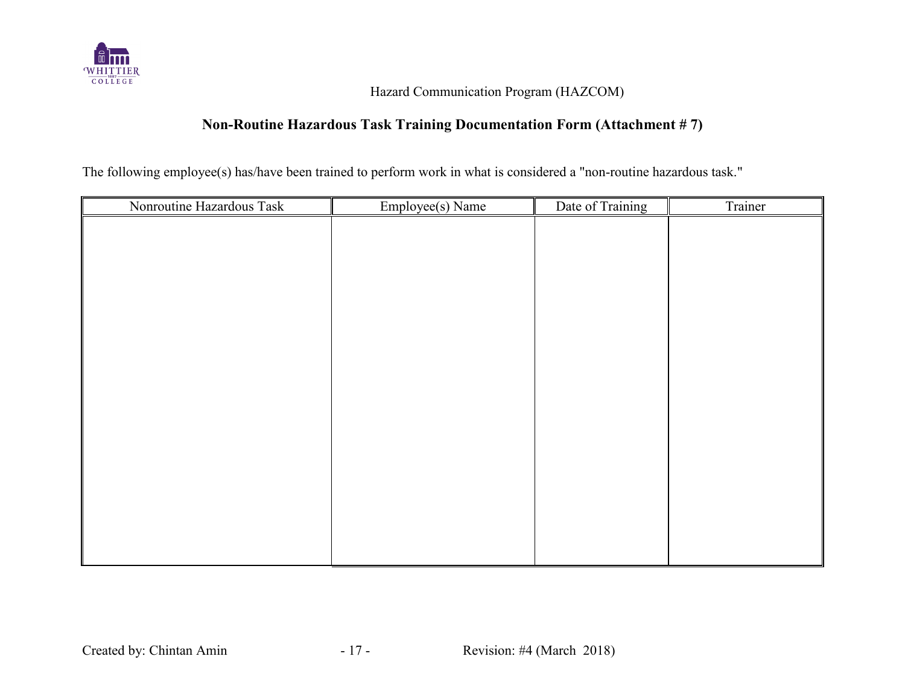

### **Non-Routine Hazardous Task Training Documentation Form (Attachment # 7)**

The following employee(s) has/have been trained to perform work in what is considered a "non-routine hazardous task."

| Nonroutine Hazardous Task | Employee(s) Name | Date of Training | Trainer |
|---------------------------|------------------|------------------|---------|
|                           |                  |                  |         |
|                           |                  |                  |         |
|                           |                  |                  |         |
|                           |                  |                  |         |
|                           |                  |                  |         |
|                           |                  |                  |         |
|                           |                  |                  |         |
|                           |                  |                  |         |
|                           |                  |                  |         |
|                           |                  |                  |         |
|                           |                  |                  |         |
|                           |                  |                  |         |
|                           |                  |                  |         |
|                           |                  |                  |         |
|                           |                  |                  |         |
|                           |                  |                  |         |
|                           |                  |                  |         |
|                           |                  |                  |         |
|                           |                  |                  |         |
|                           |                  |                  |         |